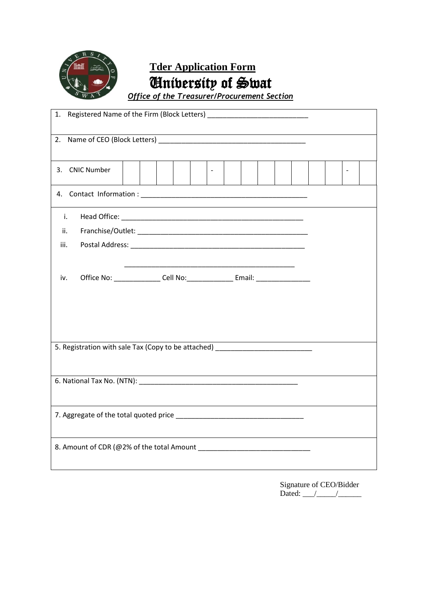

# **Tder Application Form** University of Swat

*Office of the Treasurer/Procurement Section*

| 1.                                                                                                                                                                                                        |  |
|-----------------------------------------------------------------------------------------------------------------------------------------------------------------------------------------------------------|--|
| 2.                                                                                                                                                                                                        |  |
| <b>CNIC Number</b><br>3.                                                                                                                                                                                  |  |
|                                                                                                                                                                                                           |  |
| i.<br>ii.<br>iii.                                                                                                                                                                                         |  |
| Office No: _________________ Cell No: ________________ Email: __________________<br>iv.                                                                                                                   |  |
| 5. Registration with sale Tax (Copy to be attached) ____________________________<br><u> 1989 - Johann Barn, mars ann an t-Amhain an t-Amhain an t-Amhain an t-Amhain an t-Amhain an t-Amhain an t-Amh</u> |  |
|                                                                                                                                                                                                           |  |
|                                                                                                                                                                                                           |  |
|                                                                                                                                                                                                           |  |

Signature of CEO/Bidder Dated: \_\_\_/\_\_\_\_\_/\_\_\_\_\_\_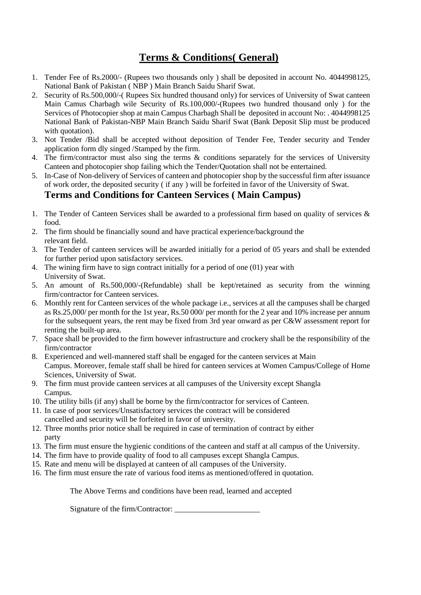### **Terms & Conditions( General)**

- 1. Tender Fee of Rs.2000/- (Rupees two thousands only ) shall be deposited in account No. 4044998125, National Bank of Pakistan ( NBP ) Main Branch Saidu Sharif Swat.
- 2. Security of Rs.500,000/-( Rupees Six hundred thousand only) for services of University of Swat canteen Main Camus Charbagh wile Security of Rs.100,000/-(Rupees two hundred thousand only ) for the Services of Photocopier shop at main Campus Charbagh Shall be deposited in account No: . 4044998125 National Bank of Pakistan-NBP Main Branch Saidu Sharif Swat (Bank Deposit Slip must be produced with quotation).
- 3. Not Tender /Bid shall be accepted without deposition of Tender Fee, Tender security and Tender application form dly singed /Stamped by the firm.
- 4. The firm/contractor must also sing the terms & conditions separately for the services of University Canteen and photocopier shop failing which the Tender/Quotation shall not be entertained.
- 5. In-Case of Non-delivery of Services of canteen and photocopier shop by the successful firm after issuance of work order, the deposited security ( if any ) will be forfeited in favor of the University of Swat.

#### **Terms and Conditions for Canteen Services ( Main Campus)**

- 1. The Tender of Canteen Services shall be awarded to a professional firm based on quality of services  $\&$ food.
- 2. The firm should be financially sound and have practical experience/background the relevant field.
- 3. The Tender of canteen services will be awarded initially for a period of 05 years and shall be extended for further period upon satisfactory services.
- 4. The wining firm have to sign contract initially for a period of one (01) year with University of Swat.
- 5. An amount of Rs.500,000/-(Refundable) shall be kept/retained as security from the winning firm/contractor for Canteen services.
- 6. Monthly rent for Canteen services of the whole package i.e., services at all the campuses shall be charged as Rs.25,000/ per month for the 1st year, Rs.50 000/ per month for the 2 year and 10% increase per annum for the subsequent years, the rent may be fixed from 3rd year onward as per C&W assessment report for renting the built-up area.
- 7. Space shall be provided to the firm however infrastructure and crockery shall be the responsibility of the firm/contractor
- 8. Experienced and well-mannered staff shall be engaged for the canteen services at Main Campus. Moreover, female staff shall be hired for canteen services at Women Campus/College of Home Sciences, University of Swat.
- 9. The firm must provide canteen services at all campuses of the University except Shangla Campus.
- 10. The utility bills (if any) shall be borne by the firm/contractor for services of Canteen.
- 11. In case of poor services/Unsatisfactory services the contract will be considered cancelled and security will be forfeited in favor of university.
- 12. Three months prior notice shall be required in case of termination of contract by either party
- 13. The firm must ensure the hygienic conditions of the canteen and staff at all campus of the University.
- 14. The firm have to provide quality of food to all campuses except Shangla Campus.
- 15. Rate and menu will be displayed at canteen of all campuses of the University.
- 16. The firm must ensure the rate of various food items as mentioned/offered in quotation.

The Above Terms and conditions have been read, learned and accepted

Signature of the firm/Contractor: \_\_\_\_\_\_\_\_\_\_\_\_\_\_\_\_\_\_\_\_\_\_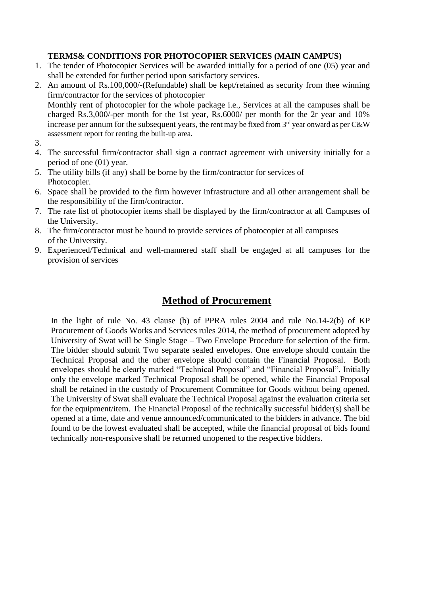#### **TERMS& CONDITIONS FOR PHOTOCOPIER SERVICES (MAIN CAMPUS)**

- 1. The tender of Photocopier Services will be awarded initially for a period of one (05) year and shall be extended for further period upon satisfactory services.
- 2. An amount of Rs.100,000/-(Refundable) shall be kept/retained as security from thee winning firm/contractor for the services of photocopier Monthly rent of photocopier for the whole package i.e., Services at all the campuses shall be charged Rs.3,000/-per month for the 1st year, Rs.6000/ per month for the 2r year and 10% increase per annum for the subsequent years, the rent may be fixed from  $3<sup>rd</sup>$  year onward as per C&W assessment report for renting the built-up area.
- 3.
- 4. The successful firm/contractor shall sign a contract agreement with university initially for a period of one (01) year.
- 5. The utility bills (if any) shall be borne by the firm/contractor for services of Photocopier.
- 6. Space shall be provided to the firm however infrastructure and all other arrangement shall be the responsibility of the firm/contractor.
- 7. The rate list of photocopier items shall be displayed by the firm/contractor at all Campuses of the University.
- 8. The firm/contractor must be bound to provide services of photocopier at all campuses of the University.
- 9. Experienced/Technical and well-mannered staff shall be engaged at all campuses for the provision of services

### **Method of Procurement**

In the light of rule No. 43 clause (b) of PPRA rules 2004 and rule No.14-2(b) of KP Procurement of Goods Works and Services rules 2014, the method of procurement adopted by University of Swat will be Single Stage – Two Envelope Procedure for selection of the firm. The bidder should submit Two separate sealed envelopes. One envelope should contain the Technical Proposal and the other envelope should contain the Financial Proposal. Both envelopes should be clearly marked "Technical Proposal" and "Financial Proposal". Initially only the envelope marked Technical Proposal shall be opened, while the Financial Proposal shall be retained in the custody of Procurement Committee for Goods without being opened. The University of Swat shall evaluate the Technical Proposal against the evaluation criteria set for the equipment/item. The Financial Proposal of the technically successful bidder(s) shall be opened at a time, date and venue announced/communicated to the bidders in advance. The bid found to be the lowest evaluated shall be accepted, while the financial proposal of bids found technically non-responsive shall be returned unopened to the respective bidders.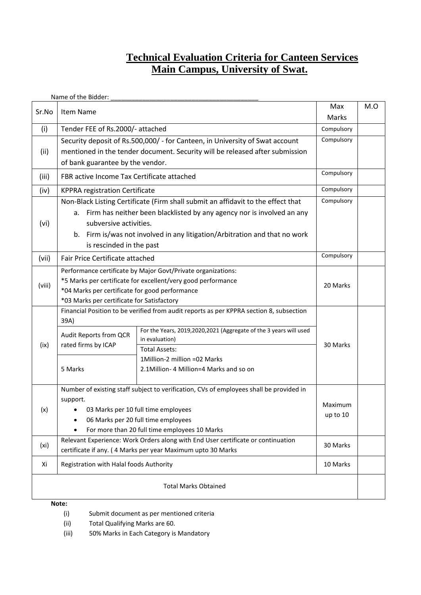#### **Technical Evaluation Criteria for Canteen Services Main Campus, University of Swat.**

|        | Name of the Bidder:                                                              |                                                                                         |              |     |
|--------|----------------------------------------------------------------------------------|-----------------------------------------------------------------------------------------|--------------|-----|
| Sr.No  | Item Name                                                                        |                                                                                         | Max<br>Marks | M.O |
| (i)    | Tender FEE of Rs.2000/- attached                                                 |                                                                                         | Compulsory   |     |
|        |                                                                                  | Security deposit of Rs.500,000/ - for Canteen, in University of Swat account            | Compulsory   |     |
| (iii)  |                                                                                  | mentioned in the tender document. Security will be released after submission            |              |     |
|        | of bank guarantee by the vendor.                                                 |                                                                                         |              |     |
| (iii)  | FBR active Income Tax Certificate attached                                       |                                                                                         | Compulsory   |     |
| (iv)   | Compulsory<br><b>KPPRA registration Certificate</b>                              |                                                                                         |              |     |
|        |                                                                                  | Non-Black Listing Certificate (Firm shall submit an affidavit to the effect that        | Compulsory   |     |
|        | а.                                                                               | Firm has neither been blacklisted by any agency nor is involved an any                  |              |     |
| (vi)   | subversive activities.                                                           |                                                                                         |              |     |
|        |                                                                                  | b. Firm is/was not involved in any litigation/Arbitration and that no work              |              |     |
|        | is rescinded in the past                                                         |                                                                                         |              |     |
| (vii)  | Fair Price Certificate attached                                                  |                                                                                         | Compulsory   |     |
|        | Performance certificate by Major Govt/Private organizations:                     |                                                                                         |              |     |
| (viii) | *5 Marks per certificate for excellent/very good performance                     |                                                                                         | 20 Marks     |     |
|        | *04 Marks per certificate for good performance                                   |                                                                                         |              |     |
|        | *03 Marks per certificate for Satisfactory                                       |                                                                                         |              |     |
|        | 39A)                                                                             | Financial Position to be verified from audit reports as per KPPRA section 8, subsection |              |     |
|        |                                                                                  | For the Years, 2019,2020,2021 (Aggregate of the 3 years will used                       |              |     |
|        | Audit Reports from QCR                                                           | in evaluation)                                                                          |              |     |
| (ix)   | rated firms by ICAP                                                              | <b>Total Assets:</b>                                                                    | 30 Marks     |     |
|        |                                                                                  | 1Million-2 million =02 Marks                                                            |              |     |
|        | 5 Marks                                                                          | 2.1Million- 4 Million=4 Marks and so on                                                 |              |     |
|        |                                                                                  |                                                                                         |              |     |
|        |                                                                                  | Number of existing staff subject to verification, CVs of employees shall be provided in |              |     |
| (x)    | support.<br>03 Marks per 10 full time employees                                  |                                                                                         | Maximum      |     |
|        | $\bullet$                                                                        | 06 Marks per 20 full time employees                                                     |              |     |
|        | For more than 20 full time employees 10 Marks                                    |                                                                                         |              |     |
|        | Relevant Experience: Work Orders along with End User certificate or continuation |                                                                                         |              |     |
| (xi)   | certificate if any. (4 Marks per year Maximum upto 30 Marks                      |                                                                                         | 30 Marks     |     |
| Xi     | Registration with Halal foods Authority                                          |                                                                                         | 10 Marks     |     |
|        |                                                                                  | <b>Total Marks Obtained</b>                                                             |              |     |
|        |                                                                                  |                                                                                         |              |     |
|        | Note:                                                                            |                                                                                         |              |     |

- (i) Submit document as per mentioned criteria
- (ii) Total Qualifying Marks are 60.
- (iii) 50% Marks in Each Category is Mandatory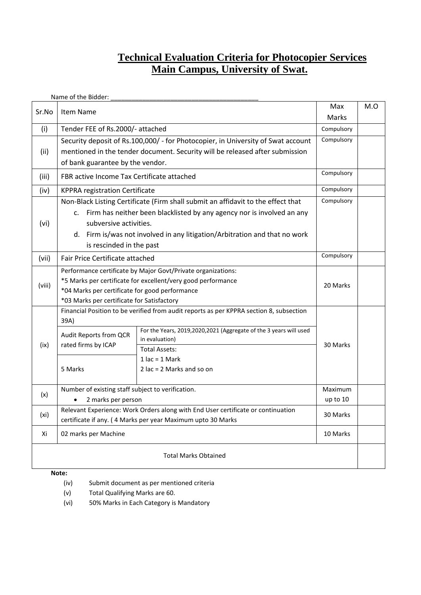### **Technical Evaluation Criteria for Photocopier Services Main Campus, University of Swat.**

|                             | Name of the Bidder:                                          |                                                                                         |              |     |
|-----------------------------|--------------------------------------------------------------|-----------------------------------------------------------------------------------------|--------------|-----|
| Sr.No                       | Item Name                                                    |                                                                                         | Max<br>Marks | M.O |
| (i)                         | Tender FEE of Rs.2000/- attached                             |                                                                                         | Compulsory   |     |
|                             |                                                              | Security deposit of Rs.100,000/ - for Photocopier, in University of Swat account        | Compulsory   |     |
| (ii)                        |                                                              | mentioned in the tender document. Security will be released after submission            |              |     |
|                             |                                                              |                                                                                         |              |     |
|                             | of bank guarantee by the vendor.                             |                                                                                         |              |     |
| (iii)                       | Compulsory<br>FBR active Income Tax Certificate attached     |                                                                                         |              |     |
| (iv)                        | Compulsory<br><b>KPPRA registration Certificate</b>          |                                                                                         |              |     |
|                             |                                                              | Non-Black Listing Certificate (Firm shall submit an affidavit to the effect that        | Compulsory   |     |
|                             | $\mathsf{c}$ .                                               | Firm has neither been blacklisted by any agency nor is involved an any                  |              |     |
| (vi)                        | subversive activities.                                       |                                                                                         |              |     |
|                             |                                                              | d. Firm is/was not involved in any litigation/Arbitration and that no work              |              |     |
|                             | is rescinded in the past                                     |                                                                                         |              |     |
| (vii)                       | Fair Price Certificate attached                              |                                                                                         | Compulsory   |     |
|                             | Performance certificate by Major Govt/Private organizations: |                                                                                         | 20 Marks     |     |
|                             | *5 Marks per certificate for excellent/very good performance |                                                                                         |              |     |
| (viii)                      | *04 Marks per certificate for good performance               |                                                                                         |              |     |
|                             | *03 Marks per certificate for Satisfactory                   |                                                                                         |              |     |
|                             |                                                              | Financial Position to be verified from audit reports as per KPPRA section 8, subsection |              |     |
|                             | 39A)                                                         |                                                                                         |              |     |
|                             | Audit Reports from QCR<br>rated firms by ICAP                | For the Years, 2019,2020,2021 (Aggregate of the 3 years will used                       |              |     |
| (ix)                        |                                                              | in evaluation)                                                                          | 30 Marks     |     |
|                             |                                                              | <b>Total Assets:</b>                                                                    |              |     |
|                             |                                                              | $1$ lac = $1$ Mark                                                                      |              |     |
|                             | 5 Marks                                                      | 2 $lac = 2$ Marks and so on                                                             |              |     |
|                             | Number of existing staff subject to verification.            |                                                                                         | Maximum      |     |
| (x)                         | 2 marks per person                                           |                                                                                         | up to 10     |     |
|                             |                                                              | Relevant Experience: Work Orders along with End User certificate or continuation        |              |     |
| (xi)                        | certificate if any. (4 Marks per year Maximum upto 30 Marks  |                                                                                         | 30 Marks     |     |
| Xi                          | 02 marks per Machine                                         |                                                                                         | 10 Marks     |     |
| <b>Total Marks Obtained</b> |                                                              |                                                                                         |              |     |

#### **Note:**

- (iv) Submit document as per mentioned criteria
- (v) Total Qualifying Marks are 60.
- (vi) 50% Marks in Each Category is Mandatory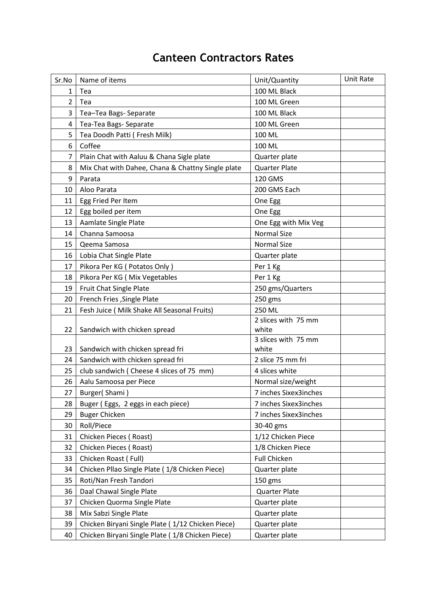## **Canteen Contractors Rates**

| Sr.No          | Name of items                                     | Unit/Quantity         | <b>Unit Rate</b> |
|----------------|---------------------------------------------------|-----------------------|------------------|
| 1              | Tea                                               | 100 ML Black          |                  |
| $\overline{2}$ | Tea                                               | 100 ML Green          |                  |
| 3              | Tea-Tea Bags- Separate                            | 100 ML Black          |                  |
| 4              | Tea-Tea Bags- Separate                            | 100 ML Green          |                  |
| 5              | Tea Doodh Patti (Fresh Milk)                      | 100 ML                |                  |
| 6              | Coffee                                            | 100 ML                |                  |
| $\overline{7}$ | Plain Chat with Aaluu & Chana Sigle plate         | Quarter plate         |                  |
| 8              | Mix Chat with Dahee, Chana & Chattny Single plate | <b>Quarter Plate</b>  |                  |
| 9              | Parata                                            | 120 GMS               |                  |
| 10             | Aloo Parata                                       | 200 GMS Each          |                  |
| 11             | Egg Fried Per Item                                | One Egg               |                  |
| 12             | Egg boiled per item                               | One Egg               |                  |
| 13             | Aamlate Single Plate                              | One Egg with Mix Veg  |                  |
| 14             | Channa Samoosa                                    | <b>Normal Size</b>    |                  |
| 15             | Qeema Samosa                                      | <b>Normal Size</b>    |                  |
| 16             | Lobia Chat Single Plate                           | Quarter plate         |                  |
| 17             | Pikora Per KG (Potatos Only)                      | Per 1 Kg              |                  |
| 18             | Pikora Per KG (Mix Vegetables                     | Per 1 Kg              |                  |
| 19             | Fruit Chat Single Plate                           | 250 gms/Quarters      |                  |
| 20             | French Fries , Single Plate                       | 250 gms               |                  |
| 21             | Fesh Juice ( Milk Shake All Seasonal Fruits)      | 250 ML                |                  |
|                |                                                   | 2 slices with 75 mm   |                  |
| 22             | Sandwich with chicken spread                      | white                 |                  |
|                |                                                   | 3 slices with 75 mm   |                  |
| 23             | Sandwich with chicken spread fri                  | white                 |                  |
| 24             | Sandwich with chicken spread fri                  | 2 slice 75 mm fri     |                  |
| 25             | club sandwich (Cheese 4 slices of 75 mm)          | 4 slices white        |                  |
| 26             | Aalu Samoosa per Piece                            | Normal size/weight    |                  |
| 27             | Burger(Shami)                                     | 7 inches Sixex3inches |                  |
| 28             | Buger (Eggs, 2 eggs in each piece)                | 7 inches Sixex3inches |                  |
| 29             | <b>Buger Chicken</b>                              | 7 inches Sixex3inches |                  |
| 30             | Roll/Piece                                        | 30-40 gms             |                  |
| 31             | Chicken Pieces (Roast)                            | 1/12 Chicken Piece    |                  |
| 32             | Chicken Pieces (Roast)                            | 1/8 Chicken Piece     |                  |
| 33             | Chicken Roast (Full)                              | <b>Full Chicken</b>   |                  |
| 34             | Chicken Pllao Single Plate (1/8 Chicken Piece)    | Quarter plate         |                  |
| 35             | Roti/Nan Fresh Tandori                            | 150 gms               |                  |
| 36             | Daal Chawal Single Plate                          | <b>Quarter Plate</b>  |                  |
| 37             | Chicken Quorma Single Plate                       | Quarter plate         |                  |
| 38             | Mix Sabzi Single Plate                            | Quarter plate         |                  |
| 39             | Chicken Biryani Single Plate (1/12 Chicken Piece) | Quarter plate         |                  |
| 40             | Chicken Biryani Single Plate (1/8 Chicken Piece)  | Quarter plate         |                  |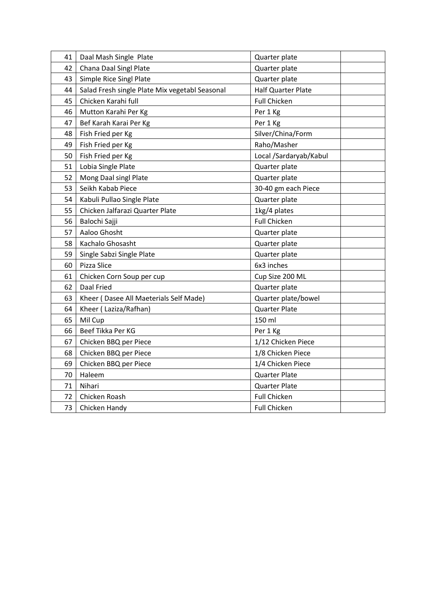| 41 | Daal Mash Single Plate                         | Quarter plate             |
|----|------------------------------------------------|---------------------------|
| 42 | Chana Daal Singl Plate                         | Quarter plate             |
| 43 | Simple Rice Singl Plate                        | Quarter plate             |
| 44 | Salad Fresh single Plate Mix vegetabl Seasonal | <b>Half Quarter Plate</b> |
| 45 | Chicken Karahi full                            | <b>Full Chicken</b>       |
| 46 | Mutton Karahi Per Kg                           | Per 1 Kg                  |
| 47 | Bef Karah Karai Per Kg                         | Per 1 Kg                  |
| 48 | Fish Fried per Kg                              | Silver/China/Form         |
| 49 | Fish Fried per Kg                              | Raho/Masher               |
| 50 | Fish Fried per Kg                              | Local /Sardaryab/Kabul    |
| 51 | Lobia Single Plate                             | Quarter plate             |
| 52 | Mong Daal singl Plate                          | Quarter plate             |
| 53 | Seikh Kabab Piece                              | 30-40 gm each Piece       |
| 54 | Kabuli Pullao Single Plate                     | Quarter plate             |
| 55 | Chicken Jalfarazi Quarter Plate                | 1kg/4 plates              |
| 56 | Balochi Sajji                                  | <b>Full Chicken</b>       |
| 57 | Aaloo Ghosht                                   | Quarter plate             |
| 58 | Kachalo Ghosasht                               | Quarter plate             |
| 59 | Single Sabzi Single Plate                      | Quarter plate             |
| 60 | Pizza Slice                                    | 6x3 inches                |
| 61 | Chicken Corn Soup per cup                      | Cup Size 200 ML           |
| 62 | Daal Fried                                     | Quarter plate             |
| 63 | Kheer (Dasee All Maeterials Self Made)         | Quarter plate/bowel       |
| 64 | Kheer (Laziza/Rafhan)                          | Quarter Plate             |
| 65 | Mil Cup                                        | 150 ml                    |
| 66 | Beef Tikka Per KG                              | Per 1 Kg                  |
| 67 | Chicken BBQ per Piece                          | 1/12 Chicken Piece        |
| 68 | Chicken BBQ per Piece                          | 1/8 Chicken Piece         |
| 69 | Chicken BBQ per Piece                          | 1/4 Chicken Piece         |
| 70 | Haleem                                         | <b>Quarter Plate</b>      |
| 71 | Nihari                                         | <b>Quarter Plate</b>      |
| 72 | Chicken Roash                                  | <b>Full Chicken</b>       |
| 73 | Chicken Handy                                  | <b>Full Chicken</b>       |